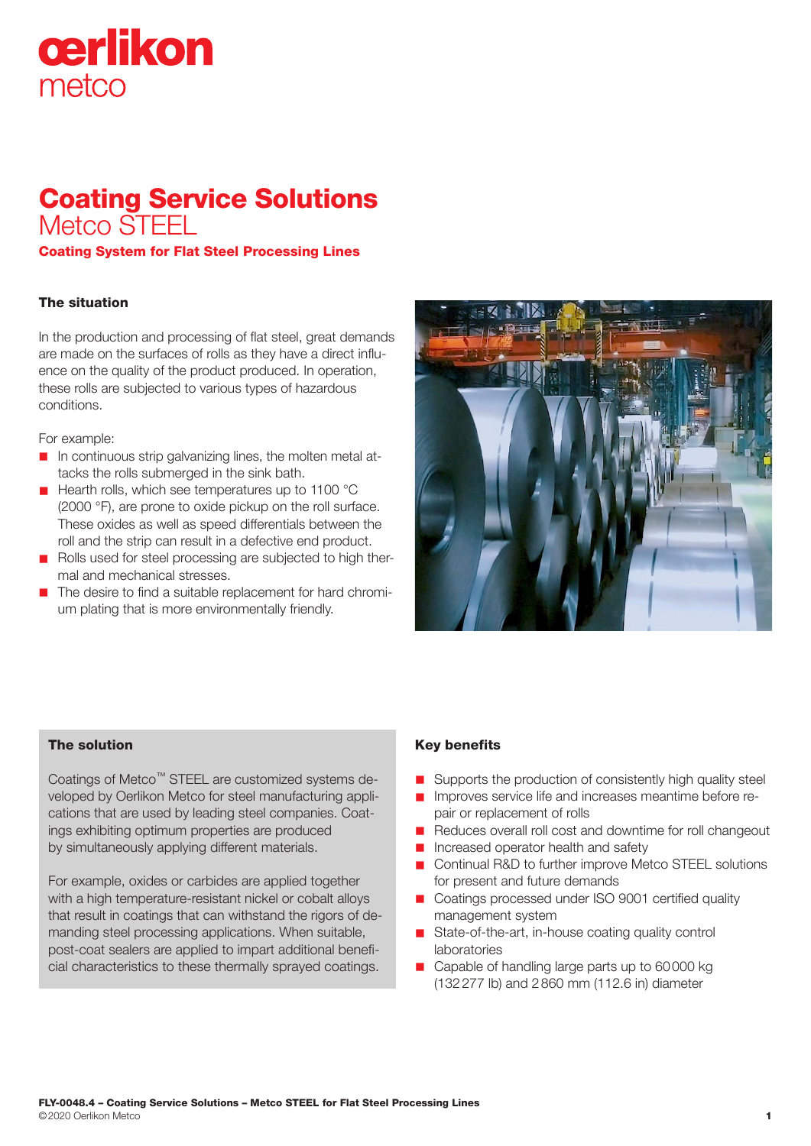# cerlikon metco

# Coating Service Solutions Metco STEEL

Coating System for Flat Steel Processing Lines

## The situation

In the production and processing of flat steel, great demands are made on the surfaces of rolls as they have a direct influence on the quality of the product produced. In operation, these rolls are subjected to various types of hazardous conditions.

For example:

- $\blacksquare$  In continuous strip galvanizing lines, the molten metal attacks the rolls submerged in the sink bath.
- Hearth rolls, which see temperatures up to 1100 °C (2000 °F), are prone to oxide pickup on the roll surface. These oxides as well as speed differentials between the roll and the strip can result in a defective end product.
- n Rolls used for steel processing are subjected to high thermal and mechanical stresses.
- The desire to find a suitable replacement for hard chromium plating that is more environmentally friendly.



### The solution

Coatings of Metco™ STEEL are customized systems developed by Oerlikon Metco for steel manufacturing applications that are used by leading steel companies. Coatings exhibiting optimum properties are produced by simultaneously applying different materials.

For example, oxides or carbides are applied together with a high temperature-resistant nickel or cobalt alloys that result in coatings that can withstand the rigors of demanding steel processing applications. When suitable, post-coat sealers are applied to impart additional beneficial characteristics to these thermally sprayed coatings.

## Key benefits

- Supports the production of consistently high quality steel
- n Improves service life and increases meantime before repair or replacement of rolls
- Reduces overall roll cost and downtime for roll changeout
- n Increased operator health and safety
- Continual R&D to further improve Metco STEEL solutions for present and future demands
- Coatings processed under ISO 9001 certified quality management system
- $\blacksquare$  State-of-the-art, in-house coating quality control laboratories
- Capable of handling large parts up to 60000 kg (132277 lb) and 2860 mm (112.6 in) diameter